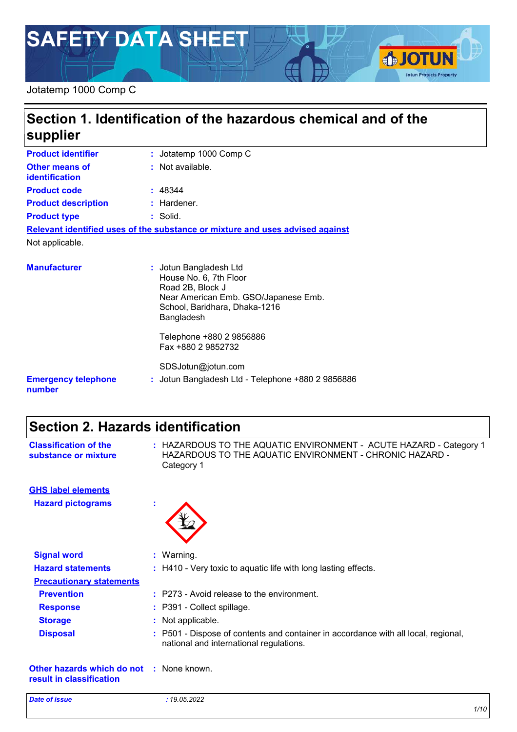# **SAFETY DATA SHEET**

### Jotatemp 1000 Comp C

# **Section 1. Identification of the hazardous chemical and of the supplier**

| <b>Product identifier</b>                      | : Jotatemp 1000 Comp C                                                        |
|------------------------------------------------|-------------------------------------------------------------------------------|
| <b>Other means of</b><br><b>identification</b> | : Not available.                                                              |
| <b>Product code</b>                            | : 48344                                                                       |
| <b>Product description</b>                     | $:$ Hardener.                                                                 |
| <b>Product type</b>                            | $:$ Solid.                                                                    |
|                                                | Relevant identified uses of the substance or mixture and uses advised against |
| Not applicable.                                |                                                                               |
| <b>Manufacturer</b>                            | : Jotun Bangladesh Ltd<br>House No. 6, 7th Floor                              |

| III MI I MULUI VI                    | . votan Dangiaacon Lta<br>House No. 6, 7th Floor<br>Road 2B, Block J<br>Near American Emb. GSO/Japanese Emb.<br>School, Baridhara, Dhaka-1216<br>Bangladesh |
|--------------------------------------|-------------------------------------------------------------------------------------------------------------------------------------------------------------|
|                                      | Telephone +880 2 9856886<br>Fax +880 2 9852732                                                                                                              |
| <b>Emergency telephone</b><br>number | SDSJotun@jotun.com<br>: Jotun Bangladesh Ltd - Telephone +880 2 9856886                                                                                     |

# **Section 2. Hazards identification**

| <b>Classification of the</b><br>substance or mixture                        | : HAZARDOUS TO THE AQUATIC ENVIRONMENT - ACUTE HAZARD - Category 1<br>HAZARDOUS TO THE AQUATIC ENVIRONMENT - CHRONIC HAZARD -<br>Category 1 |
|-----------------------------------------------------------------------------|---------------------------------------------------------------------------------------------------------------------------------------------|
| <b>GHS label elements</b>                                                   |                                                                                                                                             |
| <b>Hazard pictograms</b>                                                    |                                                                                                                                             |
| <b>Signal word</b>                                                          | : Warning.                                                                                                                                  |
| <b>Hazard statements</b>                                                    | : H410 - Very toxic to aquatic life with long lasting effects.                                                                              |
| <b>Precautionary statements</b>                                             |                                                                                                                                             |
| <b>Prevention</b>                                                           | : P273 - Avoid release to the environment.                                                                                                  |
| <b>Response</b>                                                             | : P391 - Collect spillage.                                                                                                                  |
| <b>Storage</b>                                                              | : Not applicable.                                                                                                                           |
| <b>Disposal</b>                                                             | : P501 - Dispose of contents and container in accordance with all local, regional,<br>national and international regulations.               |
| <b>Other hazards which do not : None known.</b><br>result in classification |                                                                                                                                             |

**SJOTUN** 

**Jotun Protects Property**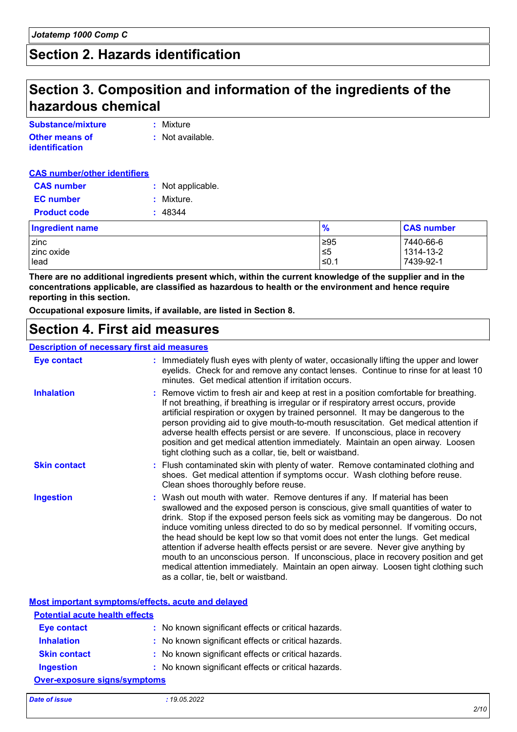# **Section 2. Hazards identification**

### **Section 3. Composition and information of the ingredients of the hazardous chemical**

| Substance/mixture     | : Mixture        |
|-----------------------|------------------|
| <b>Other means of</b> | : Not available. |
| <b>identification</b> |                  |

#### **CAS number/other identifiers**

| <b>CAS number</b>      | : Not applicable. |               |                   |
|------------------------|-------------------|---------------|-------------------|
| <b>EC</b> number       | Mixture.          |               |                   |
| <b>Product code</b>    | 48344             |               |                   |
| <b>Ingredient name</b> |                   | $\frac{9}{6}$ | <b>CAS number</b> |
| zinc                   |                   | ≥95           | 7440-66-6         |
| zinc oxide             |                   | $\leq 5$      | 1314-13-2         |
| lead                   |                   | $≤0.1$        | 7439-92-1         |

**There are no additional ingredients present which, within the current knowledge of the supplier and in the concentrations applicable, are classified as hazardous to health or the environment and hence require reporting in this section.**

**Occupational exposure limits, if available, are listed in Section 8.**

### **Section 4. First aid measures**

#### **Description of necessary first aid measures**

| Eye contact         | : Immediately flush eyes with plenty of water, occasionally lifting the upper and lower<br>eyelids. Check for and remove any contact lenses. Continue to rinse for at least 10<br>minutes. Get medical attention if irritation occurs.                                                                                                                                                                                                                                                                                                                                                                                                                                                                                               |
|---------------------|--------------------------------------------------------------------------------------------------------------------------------------------------------------------------------------------------------------------------------------------------------------------------------------------------------------------------------------------------------------------------------------------------------------------------------------------------------------------------------------------------------------------------------------------------------------------------------------------------------------------------------------------------------------------------------------------------------------------------------------|
| <b>Inhalation</b>   | : Remove victim to fresh air and keep at rest in a position comfortable for breathing.<br>If not breathing, if breathing is irregular or if respiratory arrest occurs, provide<br>artificial respiration or oxygen by trained personnel. It may be dangerous to the<br>person providing aid to give mouth-to-mouth resuscitation. Get medical attention if<br>adverse health effects persist or are severe. If unconscious, place in recovery<br>position and get medical attention immediately. Maintain an open airway. Loosen<br>tight clothing such as a collar, tie, belt or waistband.                                                                                                                                         |
| <b>Skin contact</b> | : Flush contaminated skin with plenty of water. Remove contaminated clothing and<br>shoes. Get medical attention if symptoms occur. Wash clothing before reuse.<br>Clean shoes thoroughly before reuse.                                                                                                                                                                                                                                                                                                                                                                                                                                                                                                                              |
| <b>Ingestion</b>    | : Wash out mouth with water. Remove dentures if any. If material has been<br>swallowed and the exposed person is conscious, give small quantities of water to<br>drink. Stop if the exposed person feels sick as vomiting may be dangerous. Do not<br>induce vomiting unless directed to do so by medical personnel. If vomiting occurs,<br>the head should be kept low so that vomit does not enter the lungs. Get medical<br>attention if adverse health effects persist or are severe. Never give anything by<br>mouth to an unconscious person. If unconscious, place in recovery position and get<br>medical attention immediately. Maintain an open airway. Loosen tight clothing such<br>as a collar, tie, belt or waistband. |

**Most important symptoms/effects, acute and delayed**

| <b>Potential acute health effects</b> |                                                     |  |
|---------------------------------------|-----------------------------------------------------|--|
| <b>Eye contact</b>                    | : No known significant effects or critical hazards. |  |
| <b>Inhalation</b>                     | : No known significant effects or critical hazards. |  |
| <b>Skin contact</b>                   | : No known significant effects or critical hazards. |  |
| <b>Ingestion</b>                      | : No known significant effects or critical hazards. |  |
| <b>Over-exposure signs/symptoms</b>   |                                                     |  |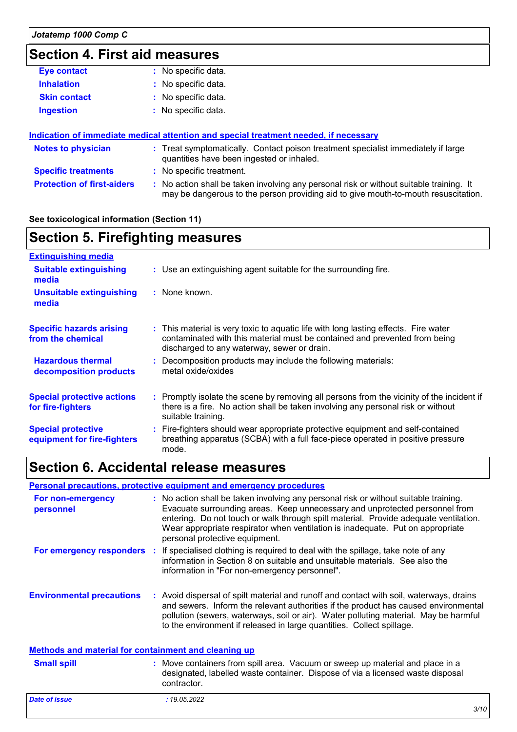# **Section 4. First aid measures**

| <b>Eye contact</b>  | : No specific data. |
|---------------------|---------------------|
| <b>Inhalation</b>   | : No specific data. |
| <b>Skin contact</b> | : No specific data. |
| <b>Ingestion</b>    | : No specific data. |

### **Indication of immediate medical attention and special treatment needed, if necessary**

| Notes to physician                | : Treat symptomatically. Contact poison treatment specialist immediately if large<br>quantities have been ingested or inhaled.                                                |
|-----------------------------------|-------------------------------------------------------------------------------------------------------------------------------------------------------------------------------|
| <b>Specific treatments</b>        | : No specific treatment.                                                                                                                                                      |
| <b>Protection of first-aiders</b> | : No action shall be taken involving any personal risk or without suitable training. It<br>may be dangerous to the person providing aid to give mouth-to-mouth resuscitation. |

### **See toxicological information (Section 11)**

| <b>Section 5. Firefighting measures</b>                  |                                                                                                                                                                                                                  |
|----------------------------------------------------------|------------------------------------------------------------------------------------------------------------------------------------------------------------------------------------------------------------------|
| <b>Extinguishing media</b>                               |                                                                                                                                                                                                                  |
| <b>Suitable extinguishing</b><br>media                   | : Use an extinguishing agent suitable for the surrounding fire.                                                                                                                                                  |
| Unsuitable extinguishing<br>media                        | : None known.                                                                                                                                                                                                    |
| <b>Specific hazards arising</b><br>from the chemical     | : This material is very toxic to aquatic life with long lasting effects. Fire water<br>contaminated with this material must be contained and prevented from being<br>discharged to any waterway, sewer or drain. |
| <b>Hazardous thermal</b><br>decomposition products       | : Decomposition products may include the following materials:<br>metal oxide/oxides                                                                                                                              |
| <b>Special protective actions</b><br>for fire-fighters   | : Promptly isolate the scene by removing all persons from the vicinity of the incident if<br>there is a fire. No action shall be taken involving any personal risk or without<br>suitable training.              |
| <b>Special protective</b><br>equipment for fire-fighters | : Fire-fighters should wear appropriate protective equipment and self-contained<br>breathing apparatus (SCBA) with a full face-piece operated in positive pressure<br>mode.                                      |

### **Section 6. Accidental release measures**

### **Personal precautions, protective equipment and emergency procedures**

| For non-emergency<br>personnel                              | : No action shall be taken involving any personal risk or without suitable training.<br>Evacuate surrounding areas. Keep unnecessary and unprotected personnel from<br>entering. Do not touch or walk through spilt material. Provide adequate ventilation.<br>Wear appropriate respirator when ventilation is inadequate. Put on appropriate<br>personal protective equipment. |
|-------------------------------------------------------------|---------------------------------------------------------------------------------------------------------------------------------------------------------------------------------------------------------------------------------------------------------------------------------------------------------------------------------------------------------------------------------|
|                                                             | <b>For emergency responders</b> : If specialised clothing is required to deal with the spillage, take note of any<br>information in Section 8 on suitable and unsuitable materials. See also the<br>information in "For non-emergency personnel".                                                                                                                               |
| <b>Environmental precautions</b>                            | : Avoid dispersal of spilt material and runoff and contact with soil, waterways, drains<br>and sewers. Inform the relevant authorities if the product has caused environmental<br>pollution (sewers, waterways, soil or air). Water polluting material. May be harmful<br>to the environment if released in large quantities. Collect spillage.                                 |
| <b>Methods and material for containment and cleaning up</b> |                                                                                                                                                                                                                                                                                                                                                                                 |
| <b>Small spill</b>                                          | : Move containers from spill area. Vacuum or sweep up material and place in a<br>designated, labelled waste container. Dispose of via a licensed waste disposal<br>contractor.                                                                                                                                                                                                  |
| <b>Date of issue</b>                                        | : 19.05.2022                                                                                                                                                                                                                                                                                                                                                                    |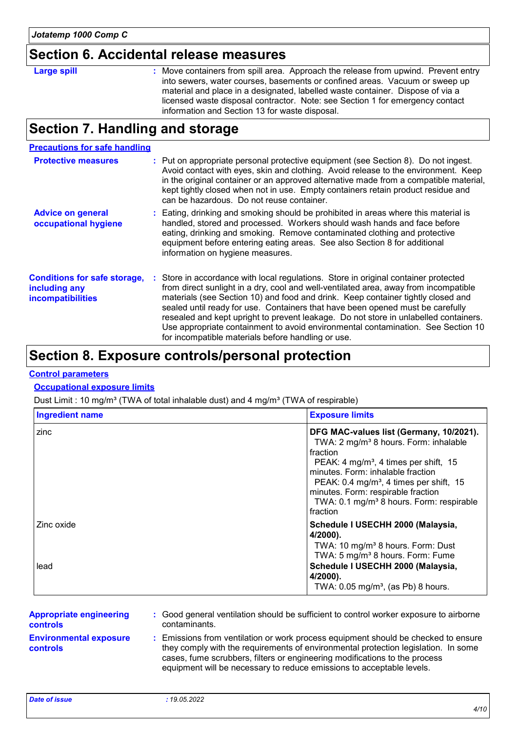### **Section 6. Accidental release measures**

### **Large spill :**

: Move containers from spill area. Approach the release from upwind. Prevent entry into sewers, water courses, basements or confined areas. Vacuum or sweep up material and place in a designated, labelled waste container. Dispose of via a licensed waste disposal contractor. Note: see Section 1 for emergency contact information and Section 13 for waste disposal.

### **Section 7. Handling and storage**

#### **Precautions for safe handling**

| <b>Protective measures</b>                                                       | : Put on appropriate personal protective equipment (see Section 8). Do not ingest.<br>Avoid contact with eyes, skin and clothing. Avoid release to the environment. Keep<br>in the original container or an approved alternative made from a compatible material,<br>kept tightly closed when not in use. Empty containers retain product residue and<br>can be hazardous. Do not reuse container.                                                                                                                                                                                  |
|----------------------------------------------------------------------------------|-------------------------------------------------------------------------------------------------------------------------------------------------------------------------------------------------------------------------------------------------------------------------------------------------------------------------------------------------------------------------------------------------------------------------------------------------------------------------------------------------------------------------------------------------------------------------------------|
| <b>Advice on general</b><br>occupational hygiene                                 | : Eating, drinking and smoking should be prohibited in areas where this material is<br>handled, stored and processed. Workers should wash hands and face before<br>eating, drinking and smoking. Remove contaminated clothing and protective<br>equipment before entering eating areas. See also Section 8 for additional<br>information on hygiene measures.                                                                                                                                                                                                                       |
| <b>Conditions for safe storage,</b><br>including any<br><b>incompatibilities</b> | : Store in accordance with local regulations. Store in original container protected<br>from direct sunlight in a dry, cool and well-ventilated area, away from incompatible<br>materials (see Section 10) and food and drink. Keep container tightly closed and<br>sealed until ready for use. Containers that have been opened must be carefully<br>resealed and kept upright to prevent leakage. Do not store in unlabelled containers.<br>Use appropriate containment to avoid environmental contamination. See Section 10<br>for incompatible materials before handling or use. |

### **Section 8. Exposure controls/personal protection**

#### **Control parameters**

### **Occupational exposure limits**

Dust Limit : 10 mg/m<sup>3</sup> (TWA of total inhalable dust) and 4 mg/m<sup>3</sup> (TWA of respirable)

| <b>Ingredient name</b> | <b>Exposure limits</b>                                                                                                                                                                                                                                                                                                                                             |
|------------------------|--------------------------------------------------------------------------------------------------------------------------------------------------------------------------------------------------------------------------------------------------------------------------------------------------------------------------------------------------------------------|
| zinc                   | DFG MAC-values list (Germany, 10/2021).<br>TWA: 2 mg/m <sup>3</sup> 8 hours. Form: inhalable<br>fraction<br>PEAK: 4 mg/m <sup>3</sup> , 4 times per shift, 15<br>minutes. Form: inhalable fraction<br>PEAK: $0.4 \text{ mg/m}^3$ , 4 times per shift, 15<br>minutes. Form: respirable fraction<br>TWA: 0.1 mg/m <sup>3</sup> 8 hours. Form: respirable<br>fraction |
| Zinc oxide<br>lead     | Schedule I USECHH 2000 (Malaysia,<br>4/2000).<br>TWA: 10 mg/m <sup>3</sup> 8 hours. Form: Dust<br>TWA: 5 mg/m <sup>3</sup> 8 hours. Form: Fume<br>Schedule I USECHH 2000 (Malaysia,<br>4/2000).<br>TWA: $0.05 \text{ mg/m}^3$ , (as Pb) 8 hours.                                                                                                                   |

| <b>Appropriate engineering</b>                   | : Good general ventilation should be sufficient to control worker exposure to airborne                                                                                                                                                                                                                                          |
|--------------------------------------------------|---------------------------------------------------------------------------------------------------------------------------------------------------------------------------------------------------------------------------------------------------------------------------------------------------------------------------------|
| <b>controls</b>                                  | contaminants.                                                                                                                                                                                                                                                                                                                   |
| <b>Environmental exposure</b><br><b>controls</b> | : Emissions from ventilation or work process equipment should be checked to ensure<br>they comply with the requirements of environmental protection legislation. In some<br>cases, fume scrubbers, filters or engineering modifications to the process<br>equipment will be necessary to reduce emissions to acceptable levels. |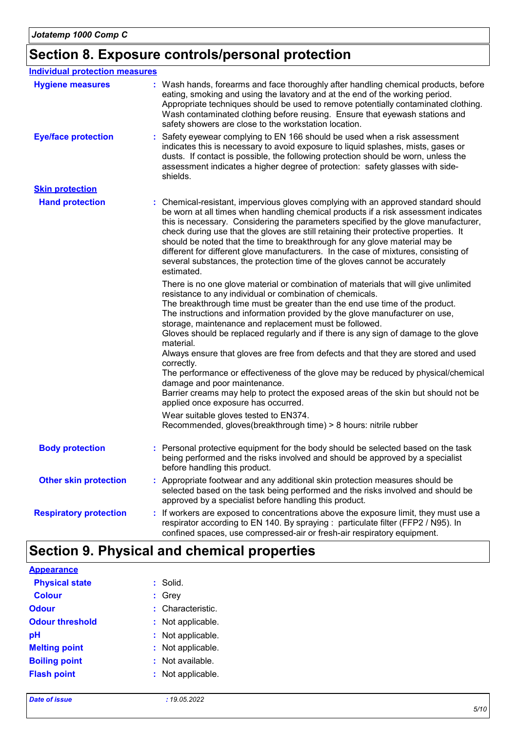# **Section 8. Exposure controls/personal protection**

| <b>Individual protection measures</b> |                                                                                                                                                                                                                                                                                                                                                                                                                                                                                                                                                                                                                                                                                                                                                                                                                                   |
|---------------------------------------|-----------------------------------------------------------------------------------------------------------------------------------------------------------------------------------------------------------------------------------------------------------------------------------------------------------------------------------------------------------------------------------------------------------------------------------------------------------------------------------------------------------------------------------------------------------------------------------------------------------------------------------------------------------------------------------------------------------------------------------------------------------------------------------------------------------------------------------|
| <b>Hygiene measures</b>               | : Wash hands, forearms and face thoroughly after handling chemical products, before<br>eating, smoking and using the lavatory and at the end of the working period.<br>Appropriate techniques should be used to remove potentially contaminated clothing.<br>Wash contaminated clothing before reusing. Ensure that eyewash stations and<br>safety showers are close to the workstation location.                                                                                                                                                                                                                                                                                                                                                                                                                                 |
| <b>Eye/face protection</b>            | Safety eyewear complying to EN 166 should be used when a risk assessment<br>indicates this is necessary to avoid exposure to liquid splashes, mists, gases or<br>dusts. If contact is possible, the following protection should be worn, unless the<br>assessment indicates a higher degree of protection: safety glasses with side-<br>shields.                                                                                                                                                                                                                                                                                                                                                                                                                                                                                  |
| <b>Skin protection</b>                |                                                                                                                                                                                                                                                                                                                                                                                                                                                                                                                                                                                                                                                                                                                                                                                                                                   |
| <b>Hand protection</b>                | : Chemical-resistant, impervious gloves complying with an approved standard should<br>be worn at all times when handling chemical products if a risk assessment indicates<br>this is necessary. Considering the parameters specified by the glove manufacturer,<br>check during use that the gloves are still retaining their protective properties. It<br>should be noted that the time to breakthrough for any glove material may be<br>different for different glove manufacturers. In the case of mixtures, consisting of<br>several substances, the protection time of the gloves cannot be accurately<br>estimated.                                                                                                                                                                                                         |
|                                       | There is no one glove material or combination of materials that will give unlimited<br>resistance to any individual or combination of chemicals.<br>The breakthrough time must be greater than the end use time of the product.<br>The instructions and information provided by the glove manufacturer on use,<br>storage, maintenance and replacement must be followed.<br>Gloves should be replaced regularly and if there is any sign of damage to the glove<br>material.<br>Always ensure that gloves are free from defects and that they are stored and used<br>correctly.<br>The performance or effectiveness of the glove may be reduced by physical/chemical<br>damage and poor maintenance.<br>Barrier creams may help to protect the exposed areas of the skin but should not be<br>applied once exposure has occurred. |
|                                       | Wear suitable gloves tested to EN374.<br>Recommended, gloves(breakthrough time) > 8 hours: nitrile rubber                                                                                                                                                                                                                                                                                                                                                                                                                                                                                                                                                                                                                                                                                                                         |
| <b>Body protection</b>                | : Personal protective equipment for the body should be selected based on the task<br>being performed and the risks involved and should be approved by a specialist<br>before handling this product.                                                                                                                                                                                                                                                                                                                                                                                                                                                                                                                                                                                                                               |
| <b>Other skin protection</b>          | : Appropriate footwear and any additional skin protection measures should be<br>selected based on the task being performed and the risks involved and should be<br>approved by a specialist before handling this product.                                                                                                                                                                                                                                                                                                                                                                                                                                                                                                                                                                                                         |
| <b>Respiratory protection</b>         | If workers are exposed to concentrations above the exposure limit, they must use a<br>respirator according to EN 140. By spraying : particulate filter (FFP2 / N95). In<br>confined spaces, use compressed-air or fresh-air respiratory equipment.                                                                                                                                                                                                                                                                                                                                                                                                                                                                                                                                                                                |

# **Section 9. Physical and chemical properties**

| <b>Appearance</b>      |                    |
|------------------------|--------------------|
| <b>Physical state</b>  | : Solid.           |
| <b>Colour</b>          | $:$ Grey           |
| <b>Odour</b>           | : Characteristic.  |
| <b>Odour threshold</b> | : Not applicable.  |
| рH                     | : Not applicable.  |
| <b>Melting point</b>   | : Not applicable.  |
| <b>Boiling point</b>   | $:$ Not available. |
| <b>Flash point</b>     | : Not applicable.  |
|                        |                    |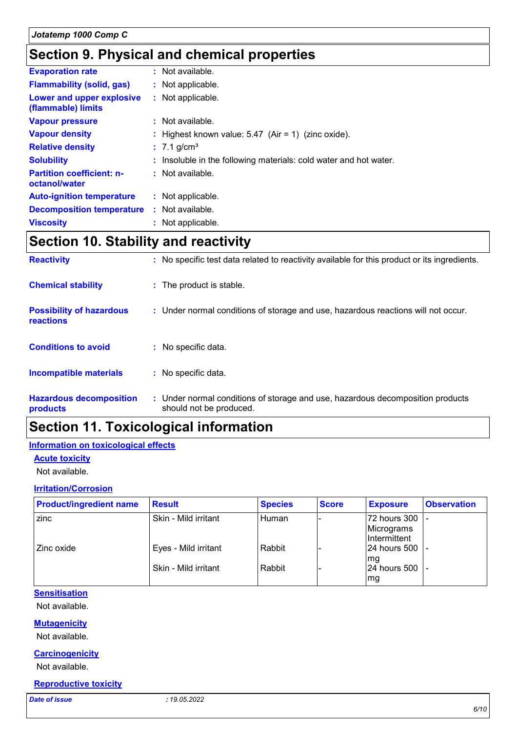## **Section 9. Physical and chemical properties**

| : Not available.                                                  |
|-------------------------------------------------------------------|
| : Not applicable.                                                 |
| : Not applicable.                                                 |
| : Not available.                                                  |
| : Highest known value: $5.47$ (Air = 1) (zinc oxide).             |
| $: 7.1$ g/cm <sup>3</sup>                                         |
| : Insoluble in the following materials: cold water and hot water. |
| : Not available.                                                  |
| : Not applicable.                                                 |
| : Not available.                                                  |
| : Not applicable.                                                 |
|                                                                   |

# **Section 10. Stability and reactivity**

| <b>Reactivity</b>                            | : No specific test data related to reactivity available for this product or its ingredients.              |
|----------------------------------------------|-----------------------------------------------------------------------------------------------------------|
| <b>Chemical stability</b>                    | : The product is stable.                                                                                  |
| <b>Possibility of hazardous</b><br>reactions | : Under normal conditions of storage and use, hazardous reactions will not occur.                         |
| <b>Conditions to avoid</b>                   | : No specific data.                                                                                       |
| <b>Incompatible materials</b>                | : No specific data.                                                                                       |
| <b>Hazardous decomposition</b><br>products   | : Under normal conditions of storage and use, hazardous decomposition products<br>should not be produced. |

# **Section 11. Toxicological information**

### **Information on toxicological effects**

### **Acute toxicity**

Not available.

#### **Irritation/Corrosion**

| <b>Product/ingredient name</b> | <b>Result</b>        | <b>Species</b> | <b>Score</b> | <b>Exposure</b>                             | <b>Observation</b> |
|--------------------------------|----------------------|----------------|--------------|---------------------------------------------|--------------------|
| zinc                           | Skin - Mild irritant | l Human        |              | 72 hours 300<br>Micrograms<br>IIntermittent |                    |
| Zinc oxide                     | Eyes - Mild irritant | Rabbit         |              | $24$ hours 500 $\vert$ -<br>lmg             |                    |
|                                | Skin - Mild irritant | Rabbit         |              | $ 24$ hours 500 $ $ -<br>mg                 |                    |

#### **Sensitisation**

Not available.

### **Mutagenicity**

Not available.

### **Carcinogenicity**

Not available.

### **Reproductive toxicity**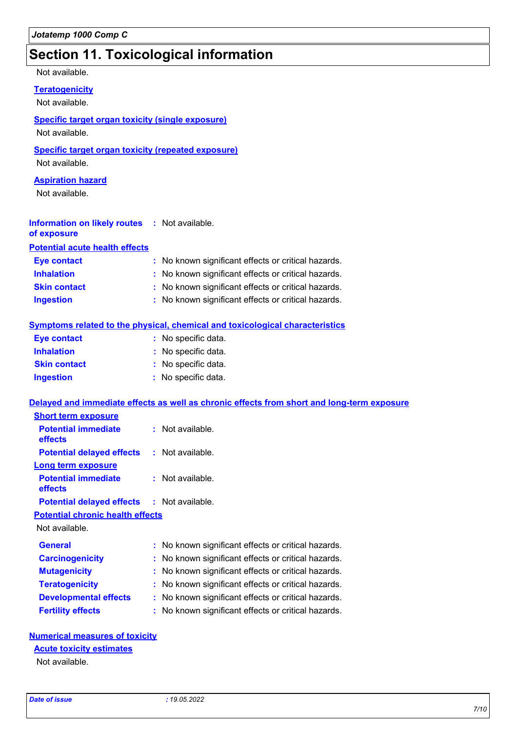## **Section 11. Toxicological information**

Not available.

### **Teratogenicity**

Not available.

### **Specific target organ toxicity (single exposure)**

Not available.

### **Specific target organ toxicity (repeated exposure)**

Not available.

### **Aspiration hazard**

Not available.

#### **Information on likely routes :** Not available. **of exposure**

**Potential acute health effects**

| Eye contact         | : No known significant effects or critical hazards. |
|---------------------|-----------------------------------------------------|
| <b>Inhalation</b>   | : No known significant effects or critical hazards. |
| <b>Skin contact</b> | : No known significant effects or critical hazards. |
| <b>Ingestion</b>    | : No known significant effects or critical hazards. |

### **Symptoms related to the physical, chemical and toxicological characteristics**

| <b>Eye contact</b>  | : No specific data. |
|---------------------|---------------------|
| <b>Inhalation</b>   | : No specific data. |
| <b>Skin contact</b> | : No specific data. |
| <b>Ingestion</b>    | : No specific data. |

#### **Delayed and immediate effects as well as chronic effects from short and long-term exposure**

| <b>Short term exposure</b>                        |                    |
|---------------------------------------------------|--------------------|
| <b>Potential immediate</b><br>effects             | $:$ Not available. |
| <b>Potential delayed effects</b>                  | : Not available.   |
| Long term exposure                                |                    |
| <b>Potential immediate</b><br>effects             | $:$ Not available. |
| <b>Potential delayed effects : Not available.</b> |                    |
| <b>Potential chronic health effects</b>           |                    |

Not available.

| <b>General</b>               | : No known significant effects or critical hazards. |
|------------------------------|-----------------------------------------------------|
| <b>Carcinogenicity</b>       | : No known significant effects or critical hazards. |
| <b>Mutagenicity</b>          | : No known significant effects or critical hazards. |
| <b>Teratogenicity</b>        | : No known significant effects or critical hazards. |
| <b>Developmental effects</b> | : No known significant effects or critical hazards. |
| <b>Fertility effects</b>     | : No known significant effects or critical hazards. |

#### **Numerical measures of toxicity**

#### **Acute toxicity estimates**

Not available.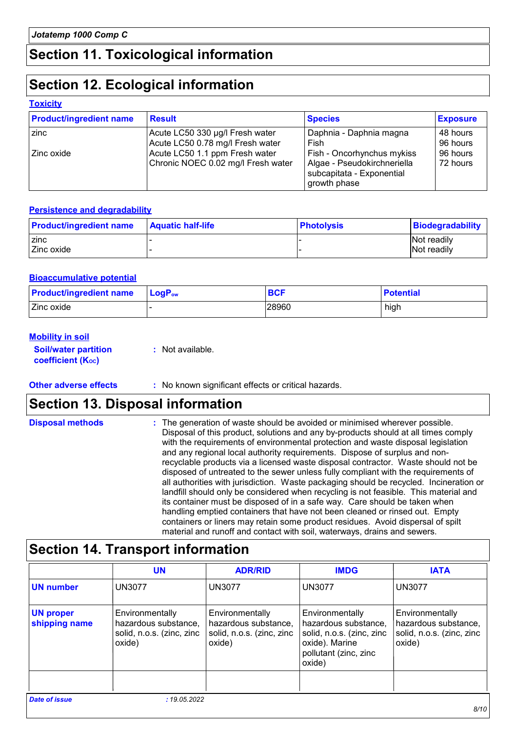# **Section 11. Toxicological information**

## **Section 12. Ecological information**

#### **Toxicity**

| <b>Product/ingredient name</b> | <b>Result</b>                      | <b>Species</b>              | <b>Exposure</b> |
|--------------------------------|------------------------------------|-----------------------------|-----------------|
| zinc                           | Acute LC50 330 µg/l Fresh water    | Daphnia - Daphnia magna     | 48 hours        |
|                                | Acute LC50 0.78 mg/l Fresh water   | Fish                        | 96 hours        |
| l Zinc oxide                   | Acute LC50 1.1 ppm Fresh water     | Fish - Oncorhynchus mykiss  | 96 hours        |
|                                | Chronic NOEC 0.02 mg/l Fresh water | Algae - Pseudokirchneriella | 72 hours        |
|                                |                                    | subcapitata - Exponential   |                 |
|                                |                                    | growth phase                |                 |

### **Persistence and degradability**

| <b>Product/ingredient name</b> | <b>Aquatic half-life</b> | ∣ Photolvsis | Biodegradability   |
|--------------------------------|--------------------------|--------------|--------------------|
| zinc                           |                          |              | <b>Not readily</b> |
| Zinc oxide                     |                          |              | <b>Not readily</b> |

#### **Bioaccumulative potential**

| <b>Product/ingredient name</b> | $\mathsf{LogP}_\mathsf{ow}$ | <b>BCF</b> | <b>Potential</b> |
|--------------------------------|-----------------------------|------------|------------------|
| Zinc oxide                     |                             | 28960      | high             |

#### **Mobility in soil**

**Soil/water partition coefficient (Koc)** 

**:** Not available.

**Other adverse effects** : No known significant effects or critical hazards.

### **Section 13. Disposal information**

| <b>Disposal methods</b> | : The generation of waste should be avoided or minimised wherever possible.<br>Disposal of this product, solutions and any by-products should at all times comply<br>with the requirements of environmental protection and waste disposal legislation<br>and any regional local authority requirements. Dispose of surplus and non-<br>recyclable products via a licensed waste disposal contractor. Waste should not be<br>disposed of untreated to the sewer unless fully compliant with the requirements of<br>all authorities with jurisdiction. Waste packaging should be recycled. Incineration or<br>landfill should only be considered when recycling is not feasible. This material and<br>its container must be disposed of in a safe way. Care should be taken when<br>handling emptied containers that have not been cleaned or rinsed out. Empty<br>containers or liners may retain some product residues. Avoid dispersal of spilt |
|-------------------------|--------------------------------------------------------------------------------------------------------------------------------------------------------------------------------------------------------------------------------------------------------------------------------------------------------------------------------------------------------------------------------------------------------------------------------------------------------------------------------------------------------------------------------------------------------------------------------------------------------------------------------------------------------------------------------------------------------------------------------------------------------------------------------------------------------------------------------------------------------------------------------------------------------------------------------------------------|
|                         | material and runoff and contact with soil, waterways, drains and sewers.                                                                                                                                                                                                                                                                                                                                                                                                                                                                                                                                                                                                                                                                                                                                                                                                                                                                         |

## **Section 14. Transport information**

|                                   | <b>UN</b>                                                                      | <b>ADR/RID</b>                                                                 | <b>IMDG</b>                                                                                                               | <b>IATA</b>                                                                    |
|-----------------------------------|--------------------------------------------------------------------------------|--------------------------------------------------------------------------------|---------------------------------------------------------------------------------------------------------------------------|--------------------------------------------------------------------------------|
| <b>UN number</b>                  | <b>UN3077</b>                                                                  | <b>UN3077</b>                                                                  | <b>UN3077</b>                                                                                                             | <b>UN3077</b>                                                                  |
| <b>UN proper</b><br>shipping name | Environmentally<br>hazardous substance,<br>solid, n.o.s. (zinc, zinc<br>oxide) | Environmentally<br>hazardous substance,<br>solid, n.o.s. (zinc, zinc<br>oxide) | Environmentally<br>hazardous substance,<br>solid, n.o.s. (zinc, zinc<br>oxide). Marine<br>pollutant (zinc, zinc<br>oxide) | Environmentally<br>hazardous substance,<br>solid, n.o.s. (zinc, zinc<br>oxide) |
| <b>Date of issue</b>              | : 19.05.2022                                                                   |                                                                                |                                                                                                                           |                                                                                |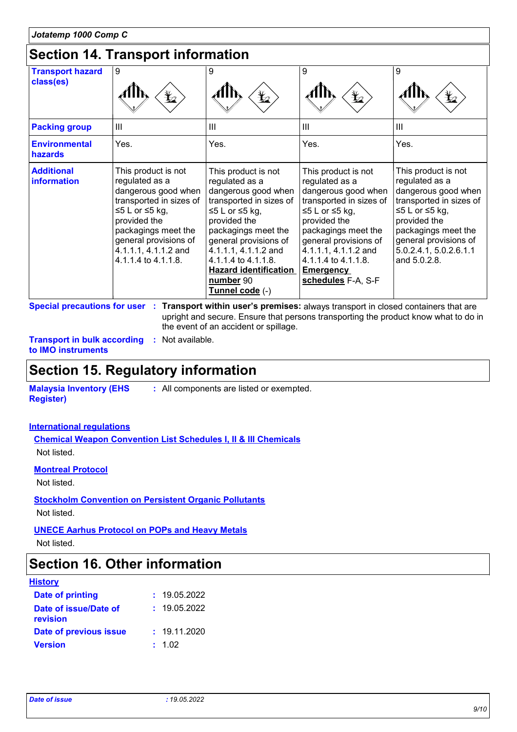### **Section 14. Transport information**

| 00000011 17. 110000001011101111000111 |                                                                                                                                                                                                                          |                                                                                                                                                                                                                                                                                          |                                                                                                                                                                                                                                                                    |                                                                                                                                                                                                                     |
|---------------------------------------|--------------------------------------------------------------------------------------------------------------------------------------------------------------------------------------------------------------------------|------------------------------------------------------------------------------------------------------------------------------------------------------------------------------------------------------------------------------------------------------------------------------------------|--------------------------------------------------------------------------------------------------------------------------------------------------------------------------------------------------------------------------------------------------------------------|---------------------------------------------------------------------------------------------------------------------------------------------------------------------------------------------------------------------|
| <b>Transport hazard</b><br>class(es)  | 9                                                                                                                                                                                                                        | 9<br>$\mathbf{F}$                                                                                                                                                                                                                                                                        | 9<br>$\bigstar$                                                                                                                                                                                                                                                    | 9<br>¥⊿                                                                                                                                                                                                             |
| <b>Packing group</b>                  | $\mathbf{III}$                                                                                                                                                                                                           | III                                                                                                                                                                                                                                                                                      | $\mathbf{III}$                                                                                                                                                                                                                                                     | $\mathbf{III}$                                                                                                                                                                                                      |
| <b>Environmental</b><br>hazards       | Yes.                                                                                                                                                                                                                     | Yes.                                                                                                                                                                                                                                                                                     | Yes.                                                                                                                                                                                                                                                               | Yes.                                                                                                                                                                                                                |
| <b>Additional</b><br>information      | This product is not<br>regulated as a<br>dangerous good when<br>transported in sizes of<br>≤5 L or ≤5 kg,<br>provided the<br>packagings meet the<br>general provisions of<br>4.1.1.1, 4.1.1.2 and<br>4.1.1.4 to 4.1.1.8. | This product is not<br>regulated as a<br>dangerous good when<br>transported in sizes of<br>≤5 L or ≤5 kg,<br>provided the<br>packagings meet the<br>general provisions of<br>4.1.1.1, 4.1.1.2 and<br>4.1.1.4 to 4.1.1.8.<br><b>Hazard identification</b><br>number 90<br>Tunnel code (-) | This product is not<br>regulated as a<br>dangerous good when<br>transported in sizes of<br>≤5 L or ≤5 kg,<br>provided the<br>packagings meet the<br>general provisions of<br>4.1.1.1, 4.1.1.2 and<br>4.1.1.4 to 4.1.1.8.<br><b>Emergency</b><br>schedules F-A, S-F | This product is not<br>regulated as a<br>dangerous good when<br>transported in sizes of<br>≤5 L or ≤5 kg,<br>provided the<br>packagings meet the<br>general provisions of<br>5.0.2.4.1, 5.0.2.6.1.1<br>and 5.0.2.8. |

**Special precautions for user Transport within user's premises:** always transport in closed containers that are **:** upright and secure. Ensure that persons transporting the product know what to do in the event of an accident or spillage.

**Transport in bulk according :** Not available. **to IMO instruments**

### **Section 15. Regulatory information**

**Malaysia Inventory (EHS Register)**

**:** All components are listed or exempted.

### **International regulations**

**Chemical Weapon Convention List Schedules I, II & III Chemicals** Not listed.

### **Montreal Protocol**

Not listed.

### **Stockholm Convention on Persistent Organic Pollutants**

Not listed.

### **UNECE Aarhus Protocol on POPs and Heavy Metals**

Not listed.

### **Section 16. Other information**

#### **History**

| Date of printing                  | : 19.05.2022 |
|-----------------------------------|--------------|
| Date of issue/Date of<br>revision | : 19.05.2022 |
| Date of previous issue            | : 19.11.2020 |
| <b>Version</b>                    | : 1.02       |